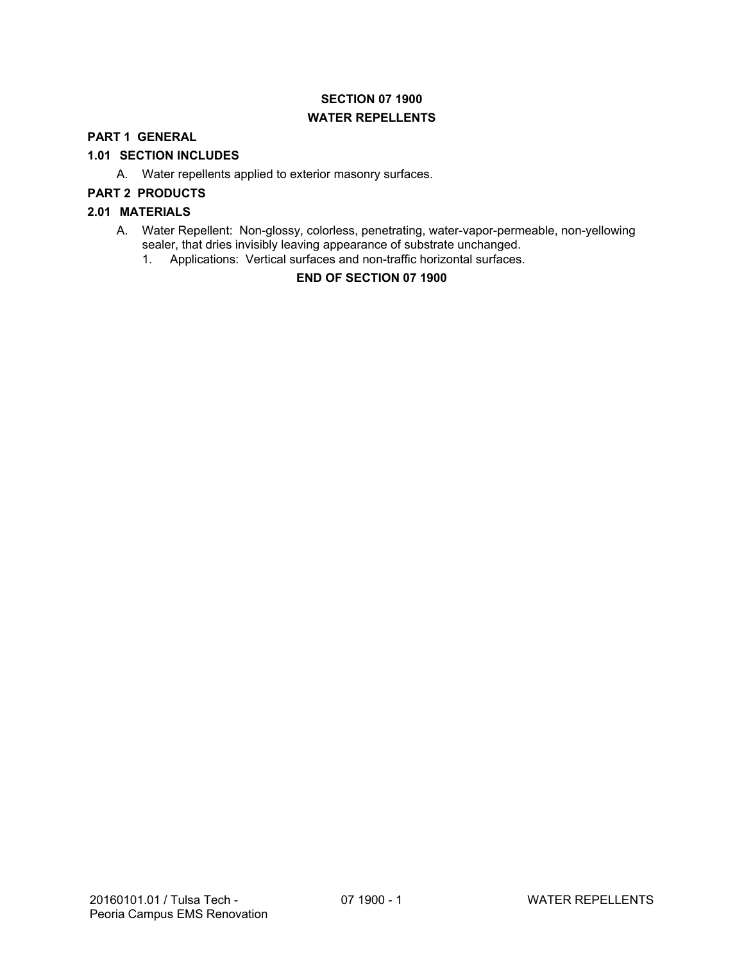# **SECTION 07 1900 WATER REPELLENTS**

## **PART 1 GENERAL**

## **1.01 SECTION INCLUDES**

A. Water repellents applied to exterior masonry surfaces.

## **PART 2 PRODUCTS**

## **2.01 MATERIALS**

- A. Water Repellent: Non-glossy, colorless, penetrating, water-vapor-permeable, non-yellowing sealer, that dries invisibly leaving appearance of substrate unchanged.
	- 1. Applications: Vertical surfaces and non-traffic horizontal surfaces.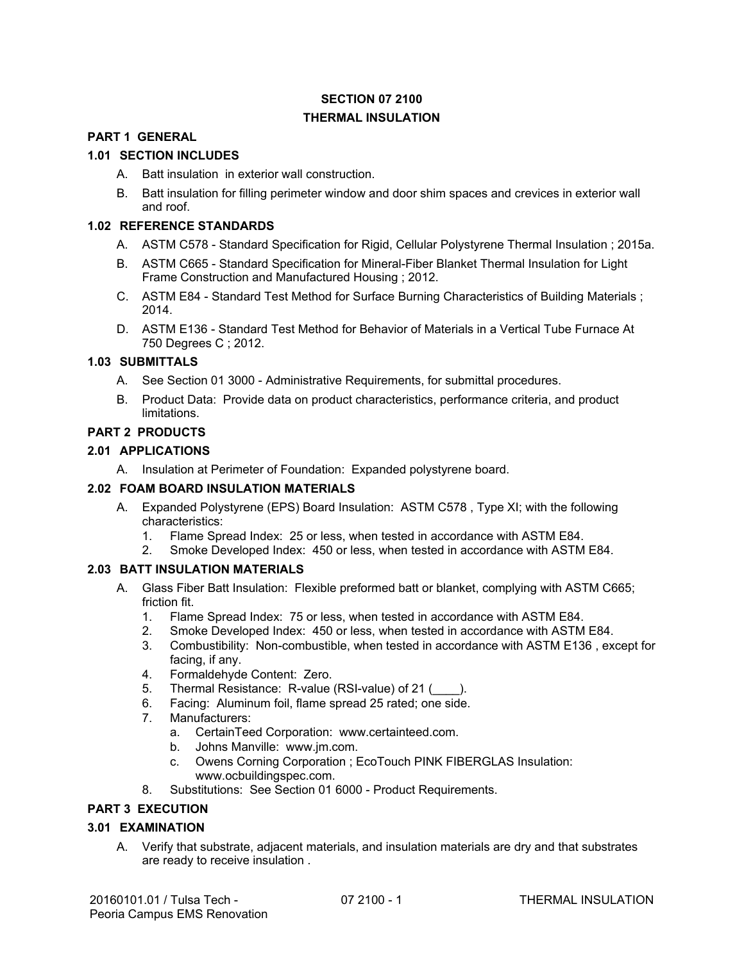# **SECTION 07 2100 THERMAL INSULATION**

## **PART 1 GENERAL**

## **1.01 SECTION INCLUDES**

- A. Batt insulation in exterior wall construction.
- B. Batt insulation for filling perimeter window and door shim spaces and crevices in exterior wall and roof.

### **1.02 REFERENCE STANDARDS**

- A. ASTM C578 Standard Specification for Rigid, Cellular Polystyrene Thermal Insulation ; 2015a.
- B. ASTM C665 Standard Specification for Mineral-Fiber Blanket Thermal Insulation for Light Frame Construction and Manufactured Housing ; 2012.
- C. ASTM E84 Standard Test Method for Surface Burning Characteristics of Building Materials ; 2014.
- D. ASTM E136 Standard Test Method for Behavior of Materials in a Vertical Tube Furnace At 750 Degrees C ; 2012.

## **1.03 SUBMITTALS**

- A. See Section 01 3000 Administrative Requirements, for submittal procedures.
- B. Product Data: Provide data on product characteristics, performance criteria, and product limitations.

## **PART 2 PRODUCTS**

## **2.01 APPLICATIONS**

A. Insulation at Perimeter of Foundation: Expanded polystyrene board.

## **2.02 FOAM BOARD INSULATION MATERIALS**

- A. Expanded Polystyrene (EPS) Board Insulation: ASTM C578 , Type XI; with the following characteristics:
	- 1. Flame Spread Index: 25 or less, when tested in accordance with ASTM E84.
	- 2. Smoke Developed Index: 450 or less, when tested in accordance with ASTM E84.

## **2.03 BATT INSULATION MATERIALS**

- A. Glass Fiber Batt Insulation: Flexible preformed batt or blanket, complying with ASTM C665; friction fit.
	- 1. Flame Spread Index: 75 or less, when tested in accordance with ASTM E84.
	- 2. Smoke Developed Index: 450 or less, when tested in accordance with ASTM E84.
	- 3. Combustibility: Non-combustible, when tested in accordance with ASTM E136 , except for facing, if any.
	- 4. Formaldehyde Content: Zero.
	- 5. Thermal Resistance: R-value (RSI-value) of 21 ().
	- 6. Facing: Aluminum foil, flame spread 25 rated; one side.
	- 7. Manufacturers:
		- a. CertainTeed Corporation: www.certainteed.com.
		- b. Johns Manville: www.jm.com.
		- c. Owens Corning Corporation ; EcoTouch PINK FIBERGLAS Insulation: www.ocbuildingspec.com.
	- 8. Substitutions: See Section 01 6000 Product Requirements.

## **PART 3 EXECUTION**

## **3.01 EXAMINATION**

A. Verify that substrate, adjacent materials, and insulation materials are dry and that substrates are ready to receive insulation .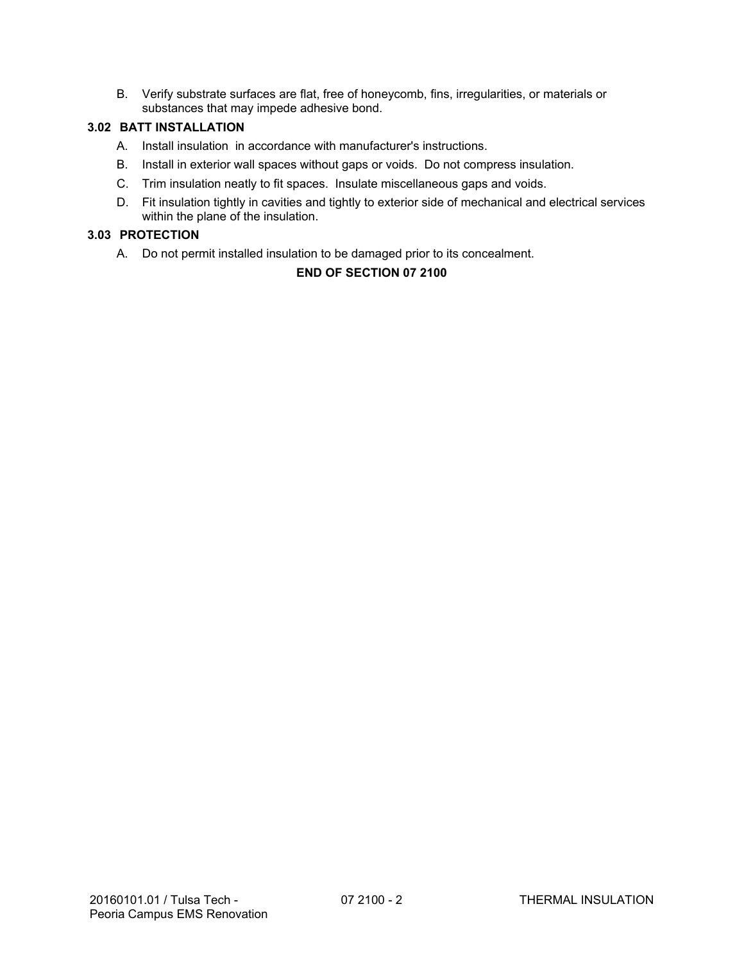B. Verify substrate surfaces are flat, free of honeycomb, fins, irregularities, or materials or substances that may impede adhesive bond.

## **3.02 BATT INSTALLATION**

- A. Install insulation in accordance with manufacturer's instructions.
- B. Install in exterior wall spaces without gaps or voids. Do not compress insulation.
- C. Trim insulation neatly to fit spaces. Insulate miscellaneous gaps and voids.
- D. Fit insulation tightly in cavities and tightly to exterior side of mechanical and electrical services within the plane of the insulation.

### **3.03 PROTECTION**

A. Do not permit installed insulation to be damaged prior to its concealment.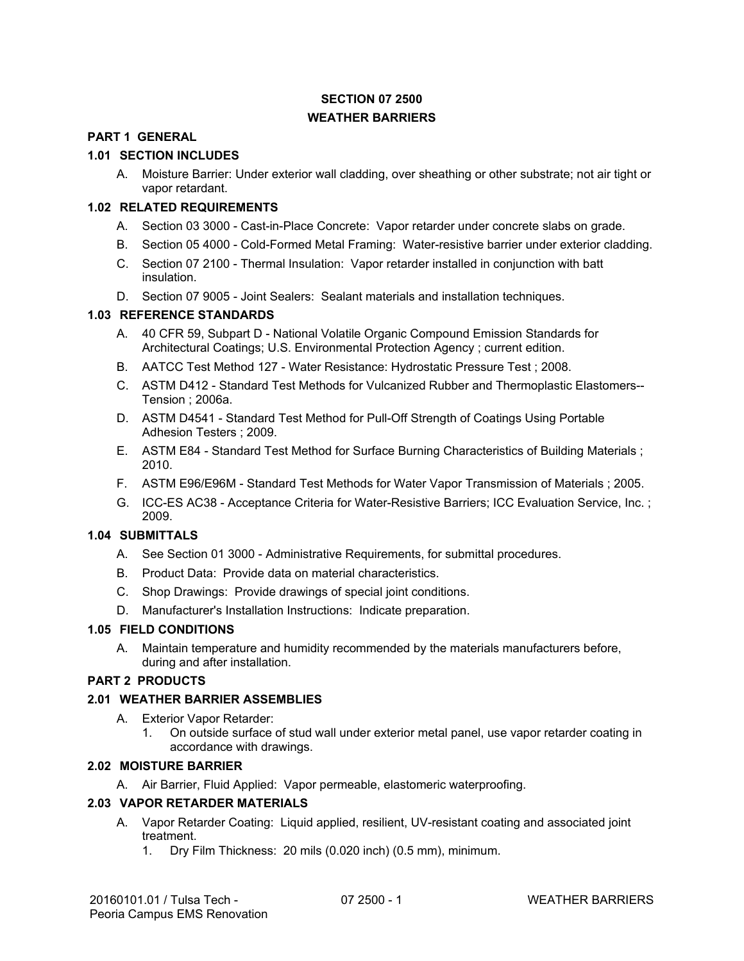# **SECTION 07 2500 WEATHER BARRIERS**

## **PART 1 GENERAL**

## **1.01 SECTION INCLUDES**

A. Moisture Barrier: Under exterior wall cladding, over sheathing or other substrate; not air tight or vapor retardant.

## **1.02 RELATED REQUIREMENTS**

- A. Section 03 3000 Cast-in-Place Concrete: Vapor retarder under concrete slabs on grade.
- B. Section 05 4000 Cold-Formed Metal Framing: Water-resistive barrier under exterior cladding.
- C. Section 07 2100 Thermal Insulation: Vapor retarder installed in conjunction with batt insulation.
- D. Section 07 9005 Joint Sealers: Sealant materials and installation techniques.

## **1.03 REFERENCE STANDARDS**

- A. 40 CFR 59, Subpart D National Volatile Organic Compound Emission Standards for Architectural Coatings; U.S. Environmental Protection Agency ; current edition.
- B. AATCC Test Method 127 Water Resistance: Hydrostatic Pressure Test ; 2008.
- C. ASTM D412 Standard Test Methods for Vulcanized Rubber and Thermoplastic Elastomers-- Tension ; 2006a.
- D. ASTM D4541 Standard Test Method for Pull-Off Strength of Coatings Using Portable Adhesion Testers ; 2009.
- E. ASTM E84 Standard Test Method for Surface Burning Characteristics of Building Materials ; 2010.
- F. ASTM E96/E96M Standard Test Methods for Water Vapor Transmission of Materials ; 2005.
- G. ICC-ES AC38 Acceptance Criteria for Water-Resistive Barriers; ICC Evaluation Service, Inc. ; 2009.

## **1.04 SUBMITTALS**

- A. See Section 01 3000 Administrative Requirements, for submittal procedures.
- B. Product Data: Provide data on material characteristics.
- C. Shop Drawings: Provide drawings of special joint conditions.
- D. Manufacturer's Installation Instructions: Indicate preparation.

### **1.05 FIELD CONDITIONS**

A. Maintain temperature and humidity recommended by the materials manufacturers before, during and after installation.

## **PART 2 PRODUCTS**

### **2.01 WEATHER BARRIER ASSEMBLIES**

- A. Exterior Vapor Retarder:
	- 1. On outside surface of stud wall under exterior metal panel, use vapor retarder coating in accordance with drawings.

## **2.02 MOISTURE BARRIER**

A. Air Barrier, Fluid Applied: Vapor permeable, elastomeric waterproofing.

### **2.03 VAPOR RETARDER MATERIALS**

- A. Vapor Retarder Coating: Liquid applied, resilient, UV-resistant coating and associated joint treatment.
	- 1. Dry Film Thickness: 20 mils (0.020 inch) (0.5 mm), minimum.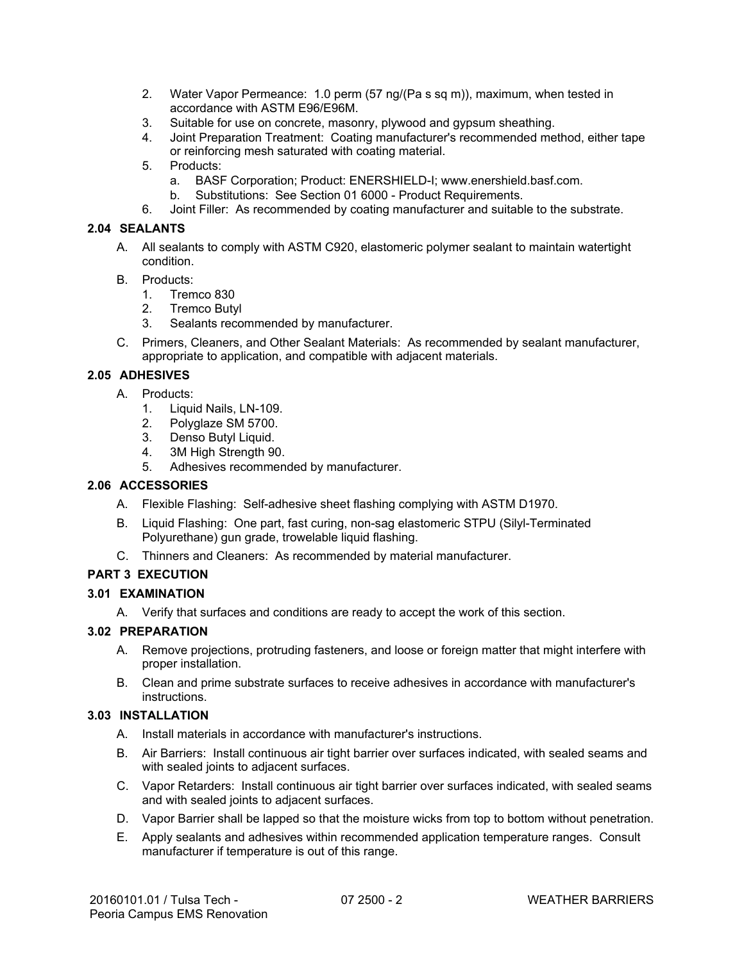- 2. Water Vapor Permeance: 1.0 perm (57 ng/(Pa s sq m)), maximum, when tested in accordance with ASTM E96/E96M.
- 3. Suitable for use on concrete, masonry, plywood and gypsum sheathing.
- 4. Joint Preparation Treatment: Coating manufacturer's recommended method, either tape or reinforcing mesh saturated with coating material.
- 5. Products:
	- a. BASF Corporation; Product: ENERSHIELD-I; www.enershield.basf.com.
	- b. Substitutions: See Section 01 6000 Product Requirements.
- 6. Joint Filler: As recommended by coating manufacturer and suitable to the substrate.

### **2.04 SEALANTS**

- A. All sealants to comply with ASTM C920, elastomeric polymer sealant to maintain watertight condition.
- B. Products:
	- 1. Tremco 830
	- 2. Tremco Butyl
	- 3. Sealants recommended by manufacturer.
- C. Primers, Cleaners, and Other Sealant Materials: As recommended by sealant manufacturer, appropriate to application, and compatible with adjacent materials.

## **2.05 ADHESIVES**

- A. Products:
	- 1. Liquid Nails, LN-109.
	- 2. Polyglaze SM 5700.
	- 3. Denso Butyl Liquid.
	- 4. 3M High Strength 90.
	- 5. Adhesives recommended by manufacturer.

## **2.06 ACCESSORIES**

- A. Flexible Flashing: Self-adhesive sheet flashing complying with ASTM D1970.
- B. Liquid Flashing: One part, fast curing, non-sag elastomeric STPU (Silyl-Terminated Polyurethane) gun grade, trowelable liquid flashing.
- C. Thinners and Cleaners: As recommended by material manufacturer.

## **PART 3 EXECUTION**

- **3.01 EXAMINATION** 
	- A. Verify that surfaces and conditions are ready to accept the work of this section.

### **3.02 PREPARATION**

- A. Remove projections, protruding fasteners, and loose or foreign matter that might interfere with proper installation.
- B. Clean and prime substrate surfaces to receive adhesives in accordance with manufacturer's instructions.

## **3.03 INSTALLATION**

- A. Install materials in accordance with manufacturer's instructions.
- B. Air Barriers: Install continuous air tight barrier over surfaces indicated, with sealed seams and with sealed joints to adjacent surfaces.
- C. Vapor Retarders: Install continuous air tight barrier over surfaces indicated, with sealed seams and with sealed joints to adjacent surfaces.
- D. Vapor Barrier shall be lapped so that the moisture wicks from top to bottom without penetration.
- E. Apply sealants and adhesives within recommended application temperature ranges. Consult manufacturer if temperature is out of this range.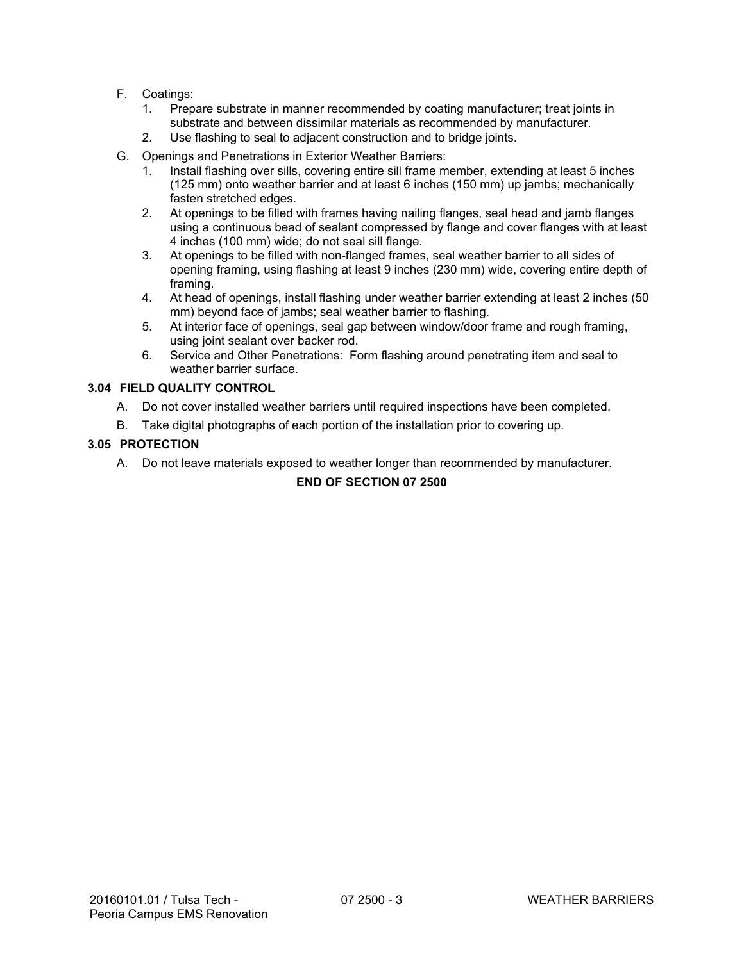- F. Coatings:
	- 1. Prepare substrate in manner recommended by coating manufacturer; treat joints in substrate and between dissimilar materials as recommended by manufacturer.
	- 2. Use flashing to seal to adjacent construction and to bridge joints.
- G. Openings and Penetrations in Exterior Weather Barriers:
	- 1. Install flashing over sills, covering entire sill frame member, extending at least 5 inches (125 mm) onto weather barrier and at least 6 inches (150 mm) up jambs; mechanically fasten stretched edges.
	- 2. At openings to be filled with frames having nailing flanges, seal head and jamb flanges using a continuous bead of sealant compressed by flange and cover flanges with at least 4 inches (100 mm) wide; do not seal sill flange.
	- 3. At openings to be filled with non-flanged frames, seal weather barrier to all sides of opening framing, using flashing at least 9 inches (230 mm) wide, covering entire depth of framing.
	- 4. At head of openings, install flashing under weather barrier extending at least 2 inches (50 mm) beyond face of jambs; seal weather barrier to flashing.
	- 5. At interior face of openings, seal gap between window/door frame and rough framing, using joint sealant over backer rod.
	- 6. Service and Other Penetrations: Form flashing around penetrating item and seal to weather barrier surface.

## **3.04 FIELD QUALITY CONTROL**

- A. Do not cover installed weather barriers until required inspections have been completed.
- B. Take digital photographs of each portion of the installation prior to covering up.

### **3.05 PROTECTION**

A. Do not leave materials exposed to weather longer than recommended by manufacturer.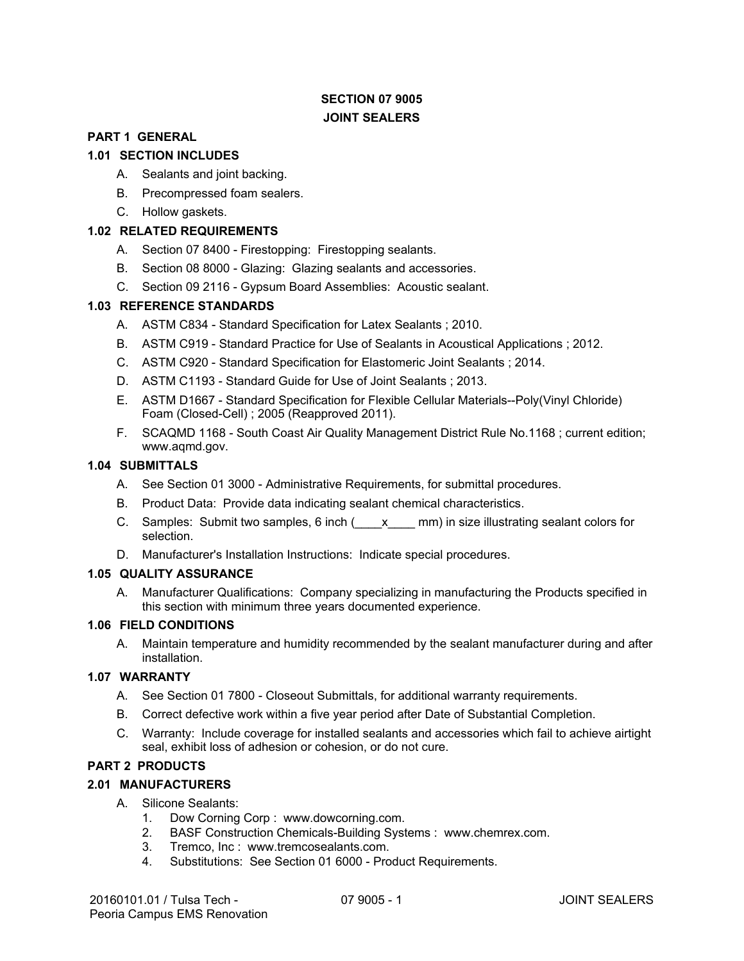## **SECTION 07 9005 JOINT SEALERS**

### **PART 1 GENERAL**

## **1.01 SECTION INCLUDES**

- A. Sealants and joint backing.
- B. Precompressed foam sealers.
- C. Hollow gaskets.

## **1.02 RELATED REQUIREMENTS**

- A. Section 07 8400 Firestopping: Firestopping sealants.
- B. Section 08 8000 Glazing: Glazing sealants and accessories.
- C. Section 09 2116 Gypsum Board Assemblies: Acoustic sealant.

### **1.03 REFERENCE STANDARDS**

- A. ASTM C834 Standard Specification for Latex Sealants ; 2010.
- B. ASTM C919 Standard Practice for Use of Sealants in Acoustical Applications ; 2012.
- C. ASTM C920 Standard Specification for Elastomeric Joint Sealants ; 2014.
- D. ASTM C1193 Standard Guide for Use of Joint Sealants ; 2013.
- E. ASTM D1667 Standard Specification for Flexible Cellular Materials--Poly(Vinyl Chloride) Foam (Closed-Cell) ; 2005 (Reapproved 2011).
- F. SCAQMD 1168 South Coast Air Quality Management District Rule No.1168 ; current edition; www.aqmd.gov.

### **1.04 SUBMITTALS**

- A. See Section 01 3000 Administrative Requirements, for submittal procedures.
- B. Product Data: Provide data indicating sealant chemical characteristics.
- C. Samples: Submit two samples, 6 inch (  $\bar{x}$  mm) in size illustrating sealant colors for selection.
- D. Manufacturer's Installation Instructions: Indicate special procedures.

### **1.05 QUALITY ASSURANCE**

A. Manufacturer Qualifications: Company specializing in manufacturing the Products specified in this section with minimum three years documented experience.

### **1.06 FIELD CONDITIONS**

A. Maintain temperature and humidity recommended by the sealant manufacturer during and after installation.

## **1.07 WARRANTY**

- A. See Section 01 7800 Closeout Submittals, for additional warranty requirements.
- B. Correct defective work within a five year period after Date of Substantial Completion.
- C. Warranty: Include coverage for installed sealants and accessories which fail to achieve airtight seal, exhibit loss of adhesion or cohesion, or do not cure.

### **PART 2 PRODUCTS**

### **2.01 MANUFACTURERS**

- A. Silicone Sealants:
	- 1. Dow Corning Corp : www.dowcorning.com.
	- 2. BASF Construction Chemicals-Building Systems : www.chemrex.com.
	- 3. Tremco, Inc : www.tremcosealants.com.
	- 4. Substitutions: See Section 01 6000 Product Requirements.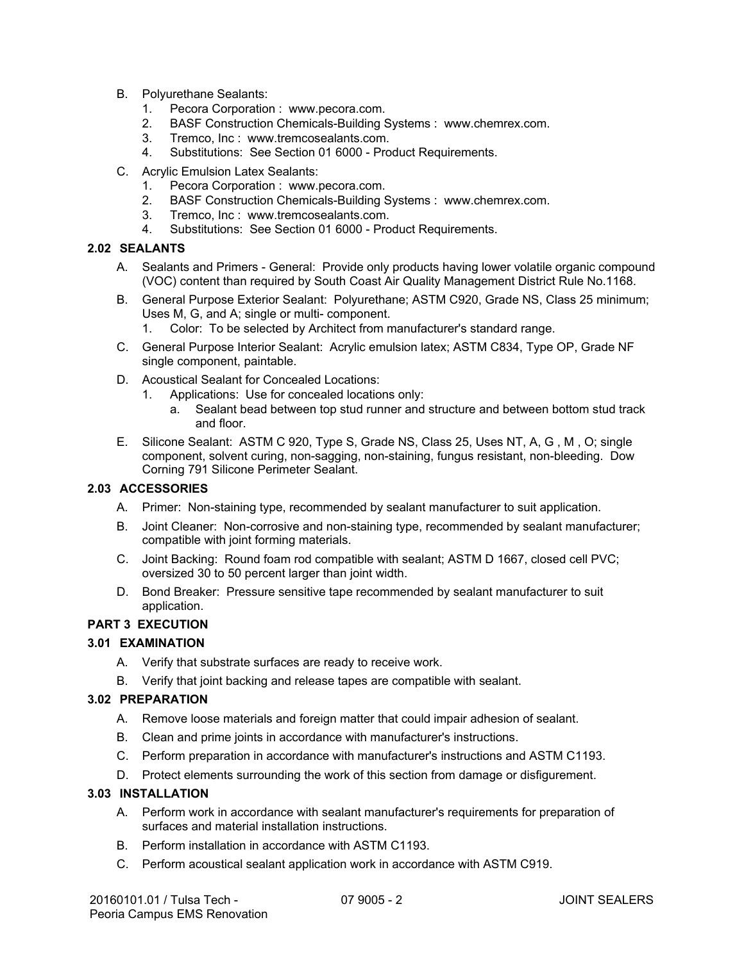- B. Polyurethane Sealants:
	- 1. Pecora Corporation : www.pecora.com.
	- 2. BASF Construction Chemicals-Building Systems : www.chemrex.com.
	- 3. Tremco, Inc : www.tremcosealants.com.
	- 4. Substitutions: See Section 01 6000 Product Requirements.
- C. Acrylic Emulsion Latex Sealants:
	- 1. Pecora Corporation : www.pecora.com.
	- 2. BASF Construction Chemicals-Building Systems : www.chemrex.com.
	- 3. Tremco, Inc : www.tremcosealants.com.
	- 4. Substitutions: See Section 01 6000 Product Requirements.

## **2.02 SEALANTS**

- A. Sealants and Primers General: Provide only products having lower volatile organic compound (VOC) content than required by South Coast Air Quality Management District Rule No.1168.
- B. General Purpose Exterior Sealant: Polyurethane; ASTM C920, Grade NS, Class 25 minimum; Uses M, G, and A; single or multi- component.
	- 1. Color: To be selected by Architect from manufacturer's standard range.
- C. General Purpose Interior Sealant: Acrylic emulsion latex; ASTM C834, Type OP, Grade NF single component, paintable.
- D. Acoustical Sealant for Concealed Locations:
	- 1. Applications: Use for concealed locations only:
		- a. Sealant bead between top stud runner and structure and between bottom stud track and floor.
- E. Silicone Sealant: ASTM C 920, Type S, Grade NS, Class 25, Uses NT, A, G , M , O; single component, solvent curing, non-sagging, non-staining, fungus resistant, non-bleeding. Dow Corning 791 Silicone Perimeter Sealant.

## **2.03 ACCESSORIES**

- A. Primer: Non-staining type, recommended by sealant manufacturer to suit application.
- B. Joint Cleaner: Non-corrosive and non-staining type, recommended by sealant manufacturer; compatible with joint forming materials.
- C. Joint Backing: Round foam rod compatible with sealant; ASTM D 1667, closed cell PVC; oversized 30 to 50 percent larger than joint width.
- D. Bond Breaker: Pressure sensitive tape recommended by sealant manufacturer to suit application.

## **PART 3 EXECUTION**

## **3.01 EXAMINATION**

- A. Verify that substrate surfaces are ready to receive work.
- B. Verify that joint backing and release tapes are compatible with sealant.

### **3.02 PREPARATION**

- A. Remove loose materials and foreign matter that could impair adhesion of sealant.
- B. Clean and prime joints in accordance with manufacturer's instructions.
- C. Perform preparation in accordance with manufacturer's instructions and ASTM C1193.
- D. Protect elements surrounding the work of this section from damage or disfigurement.

## **3.03 INSTALLATION**

- A. Perform work in accordance with sealant manufacturer's requirements for preparation of surfaces and material installation instructions.
- B. Perform installation in accordance with ASTM C1193.
- C. Perform acoustical sealant application work in accordance with ASTM C919.